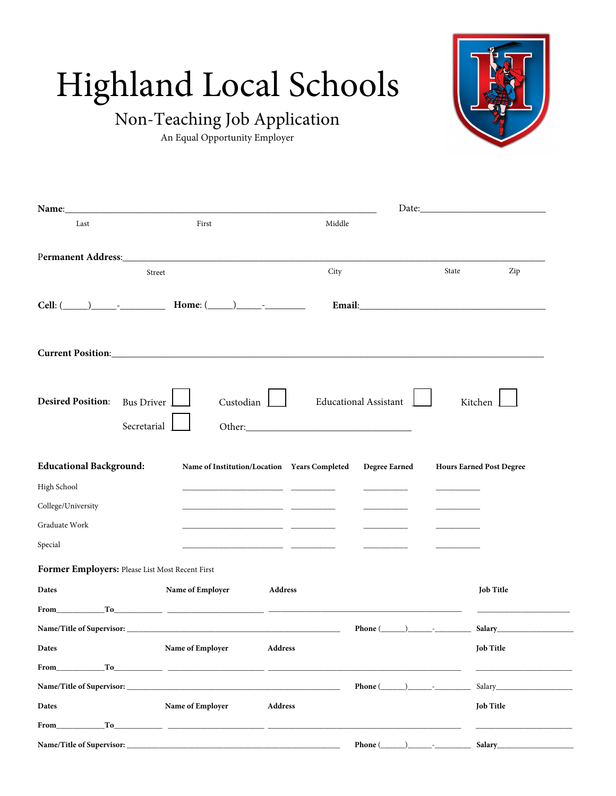# Highland Local Schools

## Non-Teaching Job Application

An Equal Opportunity Employer

| Last                                                                                                                                                                                                                                                                                                               | First                                                                                                                                                                                                                                                                                                       | Middle                                                                                                                                                                                                                               |                              |       |                                                                                                                                                                                                                                |  |  |
|--------------------------------------------------------------------------------------------------------------------------------------------------------------------------------------------------------------------------------------------------------------------------------------------------------------------|-------------------------------------------------------------------------------------------------------------------------------------------------------------------------------------------------------------------------------------------------------------------------------------------------------------|--------------------------------------------------------------------------------------------------------------------------------------------------------------------------------------------------------------------------------------|------------------------------|-------|--------------------------------------------------------------------------------------------------------------------------------------------------------------------------------------------------------------------------------|--|--|
| Permanent Address: Management Address: Management Address: Management Address: Management Address: Management Address: Management Address: Management Address: Management Address: Management Address: Management Address: Man                                                                                     |                                                                                                                                                                                                                                                                                                             |                                                                                                                                                                                                                                      |                              |       |                                                                                                                                                                                                                                |  |  |
| Street                                                                                                                                                                                                                                                                                                             |                                                                                                                                                                                                                                                                                                             | City                                                                                                                                                                                                                                 |                              | State | Zip                                                                                                                                                                                                                            |  |  |
| Cell: ( ) - Home: $\underline{\qquad \qquad }$ -                                                                                                                                                                                                                                                                   |                                                                                                                                                                                                                                                                                                             |                                                                                                                                                                                                                                      |                              |       |                                                                                                                                                                                                                                |  |  |
|                                                                                                                                                                                                                                                                                                                    |                                                                                                                                                                                                                                                                                                             |                                                                                                                                                                                                                                      |                              |       |                                                                                                                                                                                                                                |  |  |
| <b>Desired Position:</b><br><b>Bus Driver</b><br>Secretarial                                                                                                                                                                                                                                                       | Custodian                                                                                                                                                                                                                                                                                                   |                                                                                                                                                                                                                                      | <b>Educational Assistant</b> |       | Kitchen                                                                                                                                                                                                                        |  |  |
| <b>Educational Background:</b>                                                                                                                                                                                                                                                                                     |                                                                                                                                                                                                                                                                                                             | Name of Institution/Location Years Completed                                                                                                                                                                                         | Degree Earned                |       | <b>Hours Earned Post Degree</b>                                                                                                                                                                                                |  |  |
| High School                                                                                                                                                                                                                                                                                                        |                                                                                                                                                                                                                                                                                                             | <u> 1989 - Andrea Aonaichte, ann an t-Iomraid ann an t-Iomraid ann an t-Iomraid ann an t-Iomraid ann an t-Iomraid ann an t-Iomraid ann an t-Iomraid ann an t-Iomraid ann an t-Iomraid ann an t-Iomraid ann an t-Iomraid ann an t</u> |                              |       |                                                                                                                                                                                                                                |  |  |
| College/University                                                                                                                                                                                                                                                                                                 |                                                                                                                                                                                                                                                                                                             |                                                                                                                                                                                                                                      |                              |       |                                                                                                                                                                                                                                |  |  |
| Graduate Work                                                                                                                                                                                                                                                                                                      |                                                                                                                                                                                                                                                                                                             | <u> 1980 - Andrea Andrew Maria (b. 1980)</u>                                                                                                                                                                                         |                              |       |                                                                                                                                                                                                                                |  |  |
| Special                                                                                                                                                                                                                                                                                                            |                                                                                                                                                                                                                                                                                                             | <u> 1980 - Andrea Aonaichte ann an t-Aonaichte ann an t-Aonaichte ann an t-Aonaichte ann an t-Aonaichte ann an t-</u>                                                                                                                |                              |       |                                                                                                                                                                                                                                |  |  |
| Former Employers: Please List Most Recent First                                                                                                                                                                                                                                                                    |                                                                                                                                                                                                                                                                                                             |                                                                                                                                                                                                                                      |                              |       |                                                                                                                                                                                                                                |  |  |
| Dates                                                                                                                                                                                                                                                                                                              | Name of Employer                                                                                                                                                                                                                                                                                            | Address                                                                                                                                                                                                                              |                              |       | <b>Job Title</b>                                                                                                                                                                                                               |  |  |
| From To To 2008 and 2008 and 2008 and 2008 and 2008 and 2008 and 2008 and 2008 and 2008 and 2008 and 2008 and 2008 and 2008 and 2008 and 2008 and 2008 and 2008 and 2008 and 2008 and 2008 and 2008 and 2008 and 2008 and 2008                                                                                     |                                                                                                                                                                                                                                                                                                             |                                                                                                                                                                                                                                      |                              |       |                                                                                                                                                                                                                                |  |  |
|                                                                                                                                                                                                                                                                                                                    |                                                                                                                                                                                                                                                                                                             |                                                                                                                                                                                                                                      | Phone $(\_\_\_\_\$ $\_\_\_\$ |       |                                                                                                                                                                                                                                |  |  |
| <b>Dates</b>                                                                                                                                                                                                                                                                                                       | Name of Employer Address                                                                                                                                                                                                                                                                                    |                                                                                                                                                                                                                                      |                              |       | <b>Job Title</b>                                                                                                                                                                                                               |  |  |
| From To To $\frac{1}{2}$ To $\frac{1}{2}$ $\frac{1}{2}$ $\frac{1}{2}$ $\frac{1}{2}$ $\frac{1}{2}$ $\frac{1}{2}$ $\frac{1}{2}$ $\frac{1}{2}$ $\frac{1}{2}$ $\frac{1}{2}$ $\frac{1}{2}$ $\frac{1}{2}$ $\frac{1}{2}$ $\frac{1}{2}$ $\frac{1}{2}$ $\frac{1}{2}$ $\frac{1}{2}$ $\frac{1}{2}$ $\frac{1}{2}$ $\frac{1}{2$ |                                                                                                                                                                                                                                                                                                             |                                                                                                                                                                                                                                      |                              |       |                                                                                                                                                                                                                                |  |  |
|                                                                                                                                                                                                                                                                                                                    |                                                                                                                                                                                                                                                                                                             |                                                                                                                                                                                                                                      | Phone $(\_\_\_\_\$ .         |       | Salary and the same of the same of the same of the same of the same of the same of the same of the same of the same of the same of the same of the same of the same of the same of the same of the same of the same of the sam |  |  |
| Dates                                                                                                                                                                                                                                                                                                              | Name of Employer                                                                                                                                                                                                                                                                                            | <b>Address</b>                                                                                                                                                                                                                       |                              |       | <b>Job Title</b>                                                                                                                                                                                                               |  |  |
| <b>From</b>                                                                                                                                                                                                                                                                                                        | $\frac{1}{10}$ $\frac{1}{10}$ $\frac{1}{10}$ $\frac{1}{10}$ $\frac{1}{10}$ $\frac{1}{10}$ $\frac{1}{10}$ $\frac{1}{10}$ $\frac{1}{10}$ $\frac{1}{10}$ $\frac{1}{10}$ $\frac{1}{10}$ $\frac{1}{10}$ $\frac{1}{10}$ $\frac{1}{10}$ $\frac{1}{10}$ $\frac{1}{10}$ $\frac{1}{10}$ $\frac{1}{10}$ $\frac{1}{10}$ |                                                                                                                                                                                                                                      |                              |       |                                                                                                                                                                                                                                |  |  |
| Name/Title of Supervisor:                                                                                                                                                                                                                                                                                          |                                                                                                                                                                                                                                                                                                             |                                                                                                                                                                                                                                      | Phone $(\_\_\_\_\_\$         |       | Salary Manual Salary Salary Salary Salary Salary Salary Salary Salary Salary Salary Salary Salary Salary Salary Salary Salary Salary Salary Salary Salary Salary Salary Salary Salary Salary Salary Salary Salary Salary Salar |  |  |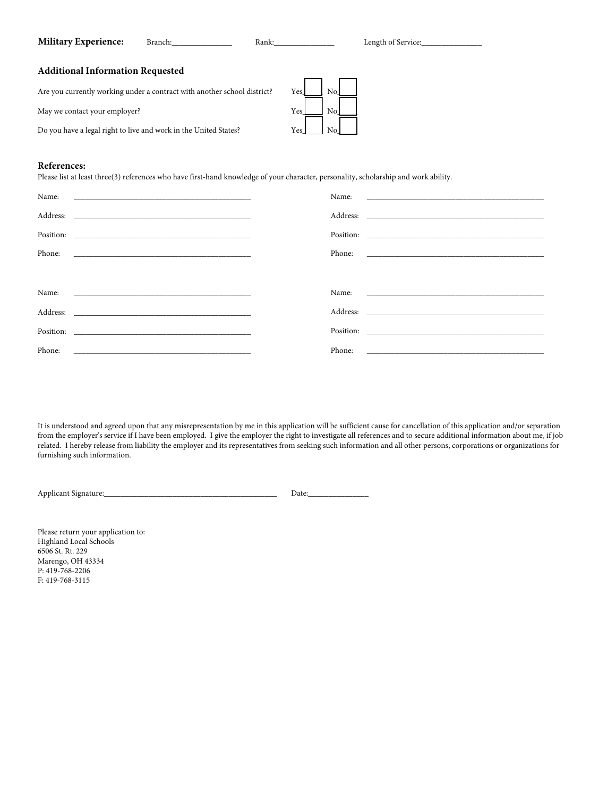#### **Military Experience:** Branch: \_\_\_\_\_\_\_\_\_\_\_\_ Rank: Length of Service:

#### **Additional Information Requested**

Are you currently working under a contract with another school district? Yes\_\_\_\_\_\_\_ No

May we contact your employer? Yes No

Do you have a legal right to live and work in the United States? Yes\_\_\_\_\_\_\_\_ No



#### **References:**

Please list at least three(3) references who have first-hand knowledge of your character, personality, scholarship and work ability.

| Name:                                                                 | Name:  | <u> 1980 - Jan Samuel Barbara, margaret e populari e populari e populari e populari e populari e populari e popu</u> |
|-----------------------------------------------------------------------|--------|----------------------------------------------------------------------------------------------------------------------|
|                                                                       |        |                                                                                                                      |
|                                                                       |        |                                                                                                                      |
| Phone:<br><u> 1980 - Jan Barnett, fransk politik (f. 1980)</u>        | Phone: |                                                                                                                      |
|                                                                       |        |                                                                                                                      |
|                                                                       |        |                                                                                                                      |
|                                                                       |        |                                                                                                                      |
| Position:<br><u> 1980 - Jan Barnett, fransk politik (d. 1980)</u>     |        |                                                                                                                      |
| Phone:<br><u> 1989 - Andrea Stadt Britain, amerikansk politiker (</u> | Phone: |                                                                                                                      |

It is understood and agreed upon that any misrepresentation by me in this application will be sufficient cause for cancellation of this application and/or separation from the employer's service if I have been employed. I give the employer the right to investigate all references and to secure additional information about me, if job related. I hereby release from liability the employer and its representatives from seeking such information and all other persons, corporations or organizations for furnishing such information.

Applicant Signature:\_\_\_\_\_\_\_\_\_\_\_\_\_\_\_\_\_\_\_\_\_\_\_\_\_\_\_\_\_\_\_\_\_\_\_\_\_\_\_\_\_\_\_ Date:\_\_\_\_\_\_\_\_\_\_\_\_\_\_\_

Please return your application to: Highland Local Schools 6506 St. Rt. 229 Marengo, OH 43334 P: 419-768-2206 F: 419-768-3115